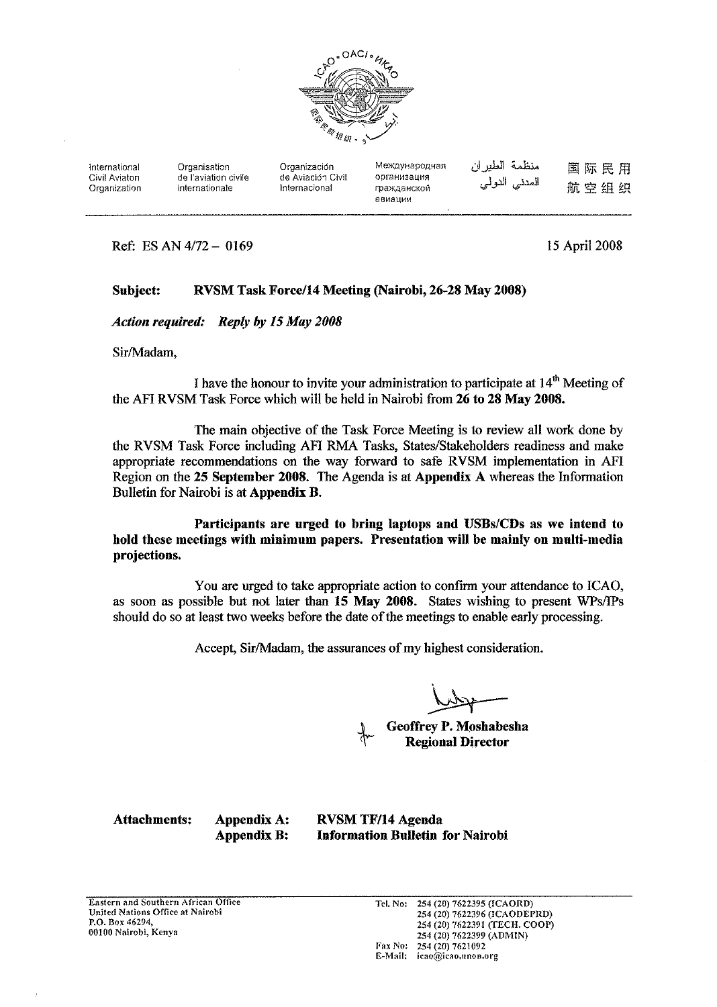

| International<br>Civil Aviaton<br>Organization | Organisation<br>de l'aviation civile<br>internationale | Organización<br>de Aviación Civil<br>Internacional | Международная<br>организация<br>гражданской<br>авиации | منظمة الطير ان<br>المدنى الدولي | 国际民用<br>航空组织 |
|------------------------------------------------|--------------------------------------------------------|----------------------------------------------------|--------------------------------------------------------|---------------------------------|--------------|
|                                                |                                                        |                                                    |                                                        |                                 |              |

Ref: ES AN 4/72 - 0169

15 April 2008

#### Subject: RVSM Task Force/14 Meeting (Nairobi, 26-28 May 2008)

**Action required:** Reply by 15 May 2008

Sir/Madam.

I have the honour to invite your administration to participate at  $14<sup>th</sup>$  Meeting of the AFI RVSM Task Force which will be held in Nairobi from 26 to 28 May 2008.

The main objective of the Task Force Meeting is to review all work done by the RVSM Task Force including AFI RMA Tasks, States/Stakeholders readiness and make appropriate recommendations on the way forward to safe RVSM implementation in AFI Region on the 25 September 2008. The Agenda is at Appendix A whereas the Information Bulletin for Nairobi is at Appendix B.

Participants are urged to bring laptops and USBs/CDs as we intend to hold these meetings with minimum papers. Presentation will be mainly on multi-media projections.

You are urged to take appropriate action to confirm your attendance to ICAO, as soon as possible but not later than 15 May 2008. States wishing to present WPs/IPs should do so at least two weeks before the date of the meetings to enable early processing.

Accept, Sir/Madam, the assurances of my highest consideration.

**Geoffrey P. Moshabesha Regional Director** 

**Attachments:** 

**Appendix A:** Appendix B: **RVSM TF/14 Agenda Information Bulletin for Nairobi**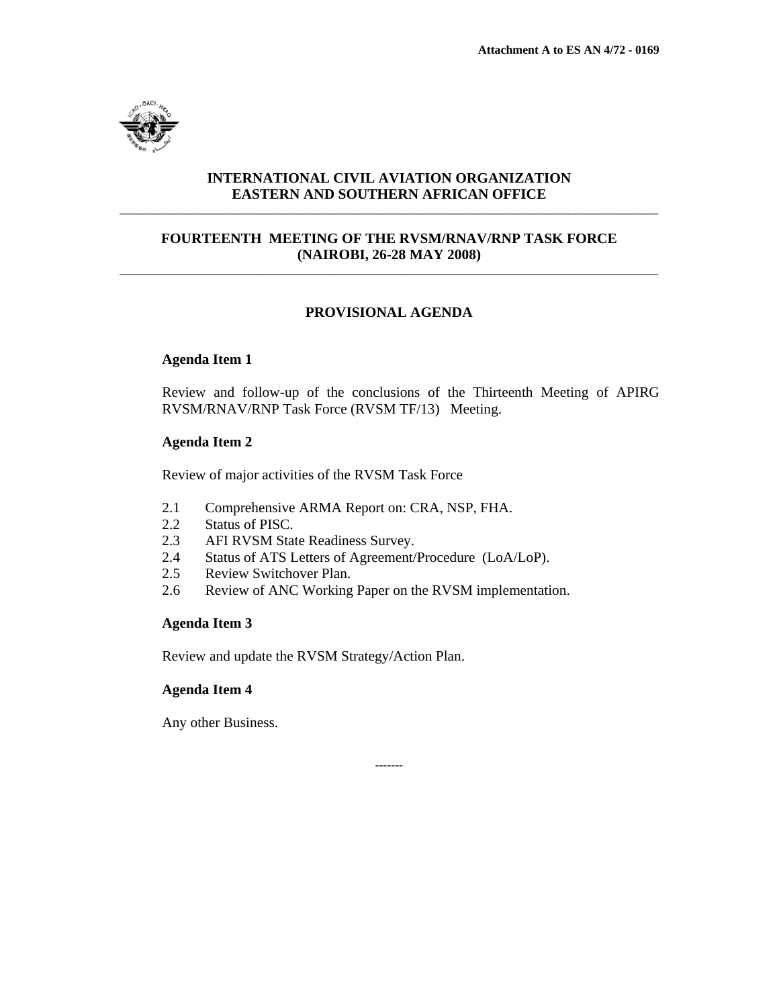

# **INTERNATIONAL CIVIL AVIATION ORGANIZATION EASTERN AND SOUTHERN AFRICAN OFFICE** \_\_\_\_\_\_\_\_\_\_\_\_\_\_\_\_\_\_\_\_\_\_\_\_\_\_\_\_\_\_\_\_\_\_\_\_\_\_\_\_\_\_\_\_\_\_\_\_\_\_\_\_\_\_\_\_\_\_\_\_\_\_\_\_\_\_\_\_\_\_\_\_\_\_\_\_\_\_\_\_\_\_\_\_\_\_\_\_\_\_

# **FOURTEENTH MEETING OF THE RVSM/RNAV/RNP TASK FORCE (NAIROBI, 26-28 MAY 2008)** \_\_\_\_\_\_\_\_\_\_\_\_\_\_\_\_\_\_\_\_\_\_\_\_\_\_\_\_\_\_\_\_\_\_\_\_\_\_\_\_\_\_\_\_\_\_\_\_\_\_\_\_\_\_\_\_\_\_\_\_\_\_\_\_\_\_\_\_\_\_\_\_\_\_\_\_\_\_\_\_\_\_\_\_\_\_\_\_\_\_

# **PROVISIONAL AGENDA**

# **Agenda Item 1**

Review and follow-up of the conclusions of the Thirteenth Meeting of APIRG RVSM/RNAV/RNP Task Force (RVSM TF/13) Meeting.

# **Agenda Item 2**

Review of major activities of the RVSM Task Force

- 2.1 Comprehensive ARMA Report on: CRA, NSP, FHA.
- 2.2 Status of PISC.
- 2.3 AFI RVSM State Readiness Survey.
- 2.4 Status of ATS Letters of Agreement/Procedure (LoA/LoP).
- 2.5 Review Switchover Plan.
- 2.6 Review of ANC Working Paper on the RVSM implementation.

-------

### **Agenda Item 3**

Review and update the RVSM Strategy/Action Plan.

# **Agenda Item 4**

Any other Business.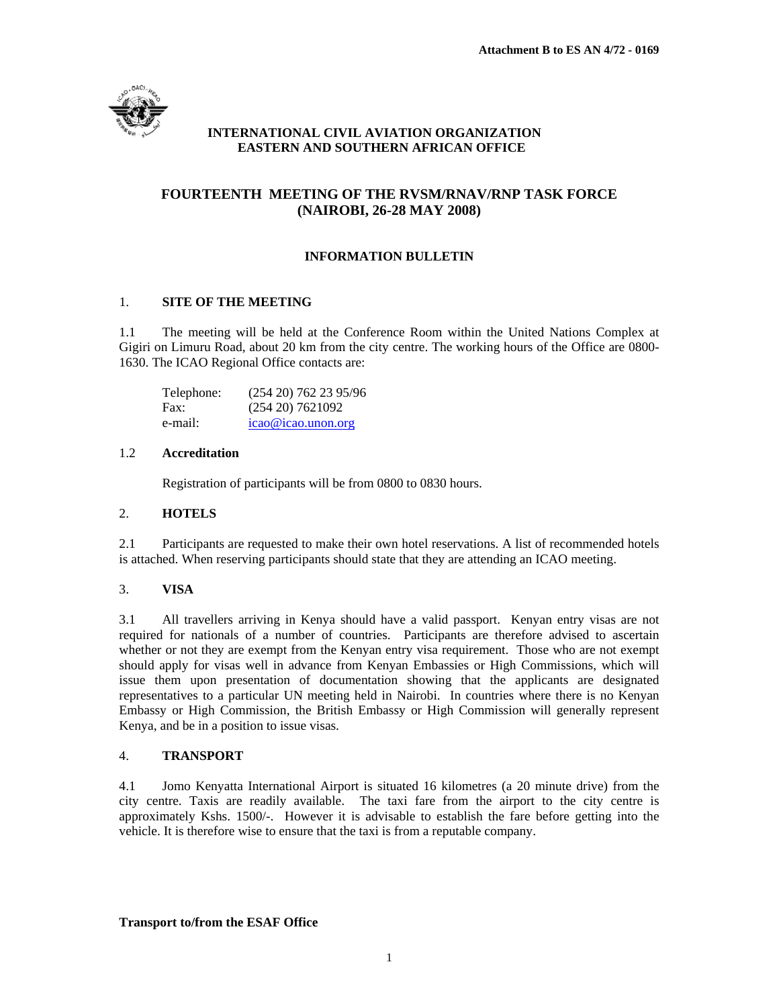

# **INTERNATIONAL CIVIL AVIATION ORGANIZATION EASTERN AND SOUTHERN AFRICAN OFFICE**

# **FOURTEENTH MEETING OF THE RVSM/RNAV/RNP TASK FORCE (NAIROBI, 26-28 MAY 2008)**

# **INFORMATION BULLETIN**

# 1. **SITE OF THE MEETING**

1.1 The meeting will be held at the Conference Room within the United Nations Complex at Gigiri on Limuru Road, about 20 km from the city centre. The working hours of the Office are 0800- 1630. The ICAO Regional Office contacts are:

| Telephone: | $(254\ 20)\ 762\ 23\ 95/96$ |
|------------|-----------------------------|
| Fax:       | $(254\ 20)\ 7621092$        |
| e-mail:    | $icao@icao.$ unon.org       |

### 1.2 **Accreditation**

Registration of participants will be from 0800 to 0830 hours.

### 2. **HOTELS**

2.1 Participants are requested to make their own hotel reservations. A list of recommended hotels is attached. When reserving participants should state that they are attending an ICAO meeting.

### 3. **VISA**

3.1 All travellers arriving in Kenya should have a valid passport. Kenyan entry visas are not required for nationals of a number of countries. Participants are therefore advised to ascertain whether or not they are exempt from the Kenyan entry visa requirement. Those who are not exempt should apply for visas well in advance from Kenyan Embassies or High Commissions, which will issue them upon presentation of documentation showing that the applicants are designated representatives to a particular UN meeting held in Nairobi. In countries where there is no Kenyan Embassy or High Commission, the British Embassy or High Commission will generally represent Kenya, and be in a position to issue visas.

### 4. **TRANSPORT**

4.1 Jomo Kenyatta International Airport is situated 16 kilometres (a 20 minute drive) from the city centre. Taxis are readily available. The taxi fare from the airport to the city centre is approximately Kshs. 1500/-. However it is advisable to establish the fare before getting into the vehicle. It is therefore wise to ensure that the taxi is from a reputable company.

### **Transport to/from the ESAF Office**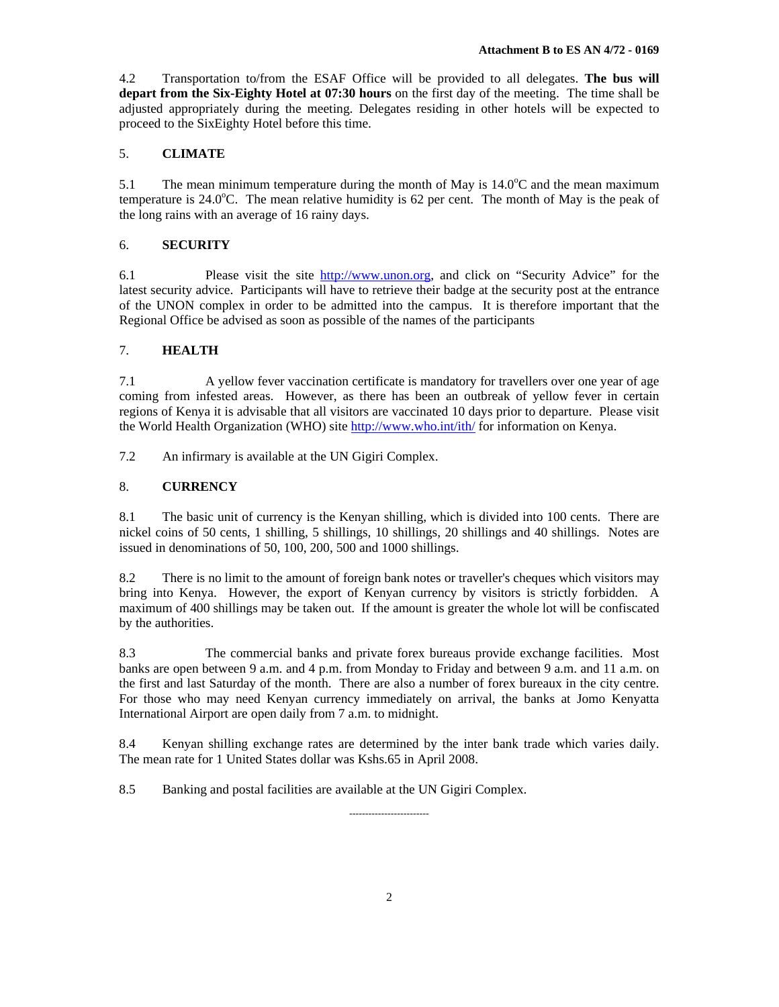4.2 Transportation to/from the ESAF Office will be provided to all delegates. **The bus will depart from the Six-Eighty Hotel at 07:30 hours** on the first day of the meeting. The time shall be adjusted appropriately during the meeting. Delegates residing in other hotels will be expected to proceed to the SixEighty Hotel before this time.

### 5. **CLIMATE**

5.1 The mean minimum temperature during the month of May is  $14.0^{\circ}$ C and the mean maximum temperature is  $24.0^{\circ}$ C. The mean relative humidity is 62 per cent. The month of May is the peak of the long rains with an average of 16 rainy days.

#### 6. **SECURITY**

6.1 Please visit the site http://www.unon.org, and click on "Security Advice" for the latest security advice. Participants will have to retrieve their badge at the security post at the entrance of the UNON complex in order to be admitted into the campus. It is therefore important that the Regional Office be advised as soon as possible of the names of the participants

#### 7. **HEALTH**

7.1 A yellow fever vaccination certificate is mandatory for travellers over one year of age coming from infested areas. However, as there has been an outbreak of yellow fever in certain regions of Kenya it is advisable that all visitors are vaccinated 10 days prior to departure. Please visit the World Health Organization (WHO) site http://www.who.int/ith/ for information on Kenya.

7.2 An infirmary is available at the UN Gigiri Complex.

#### 8. **CURRENCY**

8.1 The basic unit of currency is the Kenyan shilling, which is divided into 100 cents. There are nickel coins of 50 cents, 1 shilling, 5 shillings, 10 shillings, 20 shillings and 40 shillings. Notes are issued in denominations of 50, 100, 200, 500 and 1000 shillings.

8.2 There is no limit to the amount of foreign bank notes or traveller's cheques which visitors may bring into Kenya. However, the export of Kenyan currency by visitors is strictly forbidden. A maximum of 400 shillings may be taken out. If the amount is greater the whole lot will be confiscated by the authorities.

8.3 The commercial banks and private forex bureaus provide exchange facilities. Most banks are open between 9 a.m. and 4 p.m. from Monday to Friday and between 9 a.m. and 11 a.m. on the first and last Saturday of the month. There are also a number of forex bureaux in the city centre. For those who may need Kenyan currency immediately on arrival, the banks at Jomo Kenyatta International Airport are open daily from 7 a.m. to midnight.

8.4 Kenyan shilling exchange rates are determined by the inter bank trade which varies daily. The mean rate for 1 United States dollar was Kshs.65 in April 2008.

-------------------------

8.5 Banking and postal facilities are available at the UN Gigiri Complex.